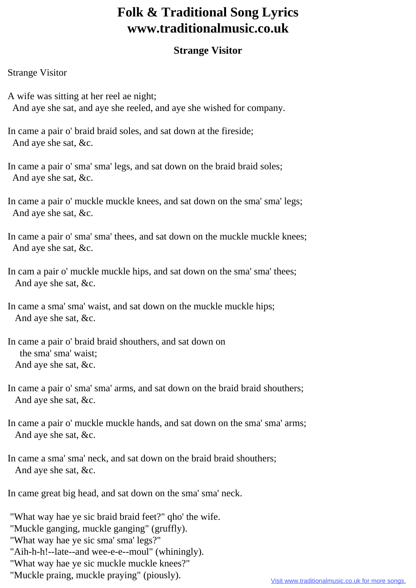## **Folk & Traditional Song Lyrics www.traditionalmusic.co.uk**

## **Strange Visitor**

## Strange Visitor

- A wife was sitting at her reel ae night; And aye she sat, and aye she reeled, and aye she wished for company.
- In came a pair o' braid braid soles, and sat down at the fireside; And aye she sat, &c.
- In came a pair o' sma' sma' legs, and sat down on the braid braid soles; And aye she sat, &c.
- In came a pair o' muckle muckle knees, and sat down on the sma' sma' legs; And aye she sat, &c.
- In came a pair o' sma' sma' thees, and sat down on the muckle muckle knees; And aye she sat, &c.
- In cam a pair o' muckle muckle hips, and sat down on the sma' sma' thees; And aye she sat, &c.
- In came a sma' sma' waist, and sat down on the muckle muckle hips; And aye she sat, &c.
- In came a pair o' braid braid shouthers, and sat down on the sma' sma' waist; And aye she sat, &c.
- In came a pair o' sma' sma' arms, and sat down on the braid braid shouthers; And aye she sat, &c.
- In came a pair o' muckle muckle hands, and sat down on the sma' sma' arms; And aye she sat, &c.
- In came a sma' sma' neck, and sat down on the braid braid shouthers; And aye she sat, &c.
- In came great big head, and sat down on the sma' sma' neck.
- "What way hae ye sic braid braid feet?" qho' the wife.
- "Muckle ganging, muckle ganging" (gruffly).
- "What way hae ye sic sma' sma' legs?"
- "Aih-h-h!--late--and wee-e-e--moul" (whiningly).
- "What way hae ye sic muckle muckle knees?"
- "Muckle praing, muckle praying" (piously).